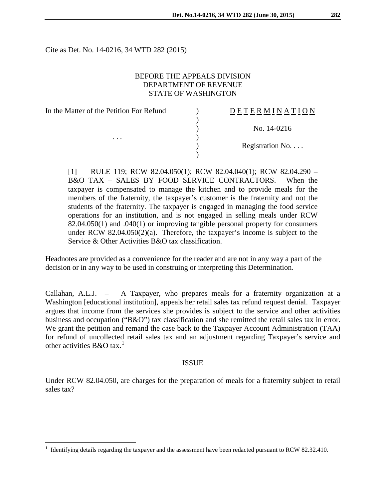Cite as Det. No. 14-0216, 34 WTD 282 (2015)

## BEFORE THE APPEALS DIVISION DEPARTMENT OF REVENUE STATE OF WASHINGTON

)

) )

| In the Matter of the Petition For Refund |  |
|------------------------------------------|--|
|                                          |  |
|                                          |  |
|                                          |  |
|                                          |  |
|                                          |  |

# D E T E R M I N A T I O N

) No. 14-0216

Registration No. . . .

[1] RULE 119; RCW 82.04.050(1); RCW 82.04.040(1); RCW 82.04.290 – B&O TAX – SALES BY FOOD SERVICE CONTRACTORS. When the taxpayer is compensated to manage the kitchen and to provide meals for the members of the fraternity, the taxpayer's customer is the fraternity and not the students of the fraternity. The taxpayer is engaged in managing the food service operations for an institution, and is not engaged in selling meals under RCW 82.04.050(1) and .040(1) or improving tangible personal property for consumers under RCW 82.04.050(2)(a). Therefore, the taxpayer's income is subject to the Service & Other Activities B&O tax classification.

Headnotes are provided as a convenience for the reader and are not in any way a part of the decision or in any way to be used in construing or interpreting this Determination.

Callahan, A.L.J. – A Taxpayer, who prepares meals for a fraternity organization at a Washington [educational institution], appeals her retail sales tax refund request denial. Taxpayer argues that income from the services she provides is subject to the service and other activities business and occupation ("B&O") tax classification and she remitted the retail sales tax in error. We grant the petition and remand the case back to the Taxpayer Account Administration (TAA) for refund of uncollected retail sales tax and an adjustment regarding Taxpayer's service and other activities  $B & O \tan^{-1}$  $B & O \tan^{-1}$  $B & O \tan^{-1}$ 

### ISSUE

Under RCW 82.04.050, are charges for the preparation of meals for a fraternity subject to retail sales tax?

<span id="page-0-0"></span> <sup>1</sup> Identifying details regarding the taxpayer and the assessment have been redacted pursuant to RCW 82.32.410.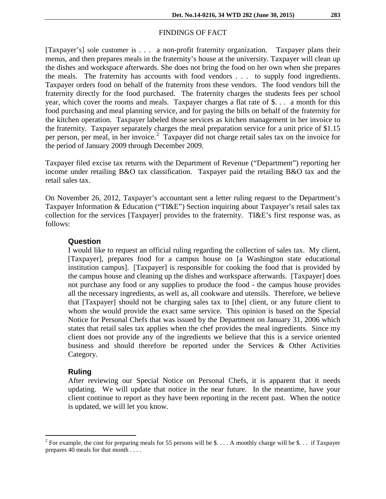#### FINDINGS OF FACT

[Taxpayer's] sole customer is . . . a non-profit fraternity organization. Taxpayer plans their menus, and then prepares meals in the fraternity's house at the university. Taxpayer will clean up the dishes and workspace afterwards. She does not bring the food on her own when she prepares the meals. The fraternity has accounts with food vendors . . . to supply food ingredients. Taxpayer orders food on behalf of the fraternity from these vendors. The food vendors bill the fraternity directly for the food purchased. The fraternity charges the students fees per school year, which cover the rooms and meals. Taxpayer charges a flat rate of \$. . . a month for this food purchasing and meal planning service, and for paying the bills on behalf of the fraternity for the kitchen operation. Taxpayer labeled those services as kitchen management in her invoice to the fraternity. Taxpayer separately charges the meal preparation service for a unit price of \$1.15 per person, per meal, in her invoice. [2](#page-1-0) Taxpayer did not charge retail sales tax on the invoice for the period of January 2009 through December 2009.

Taxpayer filed excise tax returns with the Department of Revenue ("Department") reporting her income under retailing B&O tax classification. Taxpayer paid the retailing B&O tax and the retail sales tax.

On November 26, 2012, Taxpayer's accountant sent a letter ruling request to the Department's Taxpayer Information & Education ("TI&E") Section inquiring about Taxpayer's retail sales tax collection for the services [Taxpayer] provides to the fraternity. TI&E's first response was, as follows:

#### **Question**

I would like to request an official ruling regarding the collection of sales tax. My client, [Taxpayer], prepares food for a campus house on [a Washington state educational institution campus]. [Taxpayer] is responsible for cooking the food that is provided by the campus house and cleaning up the dishes and workspace afterwards. [Taxpayer] does not purchase any food or any supplies to produce the food - the campus house provides all the necessary ingredients, as well as, all cookware and utensils. Therefore, we believe that [Taxpayer] should not be charging sales tax to [the] client, or any future client to whom she would provide the exact same service. This opinion is based on the Special Notice for Personal Chefs that was issued by the Department on January 31, 2006 which states that retail sales tax applies when the chef provides the meal ingredients. Since my client does not provide any of the ingredients we believe that this is a service oriented business and should therefore be reported under the Services & Other Activities Category.

#### **Ruling**

After reviewing our Special Notice on Personal Chefs, it is apparent that it needs updating. We will update that notice in the near future. In the meantime, have your client continue to report as they have been reporting in the recent past. When the notice is updated, we will let you know.

<span id="page-1-0"></span><sup>&</sup>lt;sup>2</sup> For example, the cost for preparing meals for 55 persons will be \$.... A monthly charge will be \$... if Taxpayer prepares 40 meals for that month . . . .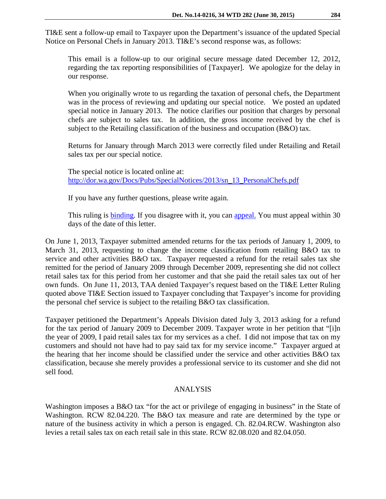TI&E sent a follow-up email to Taxpayer upon the Department's issuance of the updated Special Notice on Personal Chefs in January 2013. TI&E's second response was, as follows:

This email is a follow-up to our original secure message dated December 12, 2012, regarding the tax reporting responsibilities of [Taxpayer]. We apologize for the delay in our response.

When you originally wrote to us regarding the taxation of personal chefs, the Department was in the process of reviewing and updating our special notice. We posted an updated special notice in January 2013. The notice clarifies our position that charges by personal chefs are subject to sales tax. In addition, the gross income received by the chef is subject to the Retailing classification of the business and occupation (B&O) tax.

Returns for January through March 2013 were correctly filed under Retailing and Retail sales tax per our special notice.

The special notice is located online at: [http://dor.wa.gov/Docs/Pubs/SpecialNotices/2013/sn\\_13\\_PersonalChefs.pdf](http://dor.wa.gov/Docs/Pubs/SpecialNotices/2013/sn_13_PersonalChefs.pdf)

If you have any further questions, please write again.

This ruling is [binding.](http://apps.leg.wa.gov/wac/default.aspx?cite=458-20-100) If you disagree with it, you can [appeal.](http://dor.wa.gov/Content/FileAndPayTaxes/Appeals) You must appeal within 30 days of the date of this letter.

On June 1, 2013, Taxpayer submitted amended returns for the tax periods of January 1, 2009, to March 31, 2013, requesting to change the income classification from retailing B&O tax to service and other activities B&O tax. Taxpayer requested a refund for the retail sales tax she remitted for the period of January 2009 through December 2009, representing she did not collect retail sales tax for this period from her customer and that she paid the retail sales tax out of her own funds. On June 11, 2013, TAA denied Taxpayer's request based on the TI&E Letter Ruling quoted above TI&E Section issued to Taxpayer concluding that Taxpayer's income for providing the personal chef service is subject to the retailing B&O tax classification.

Taxpayer petitioned the Department's Appeals Division dated July 3, 2013 asking for a refund for the tax period of January 2009 to December 2009. Taxpayer wrote in her petition that "[i]n the year of 2009, I paid retail sales tax for my services as a chef. I did not impose that tax on my customers and should not have had to pay said tax for my service income." Taxpayer argued at the hearing that her income should be classified under the service and other activities B&O tax classification, because she merely provides a professional service to its customer and she did not sell food.

## ANALYSIS

Washington imposes a B&O tax "for the act or privilege of engaging in business" in the State of Washington. [RCW 82.04.220.](https://checkpoint.riag.com/app/main/docLinkNew?DocID=iSLCODTW%3A23093.1&SrcDocId=T0SLRUL%3A27781.1-1&feature=tcheckpoint&lastCpReqId=180213) The B&O tax measure and rate are determined by the type or nature of the business activity in which a person is engaged. Ch. 82.04.RCW. Washington also levies a retail sales tax on each retail sale in this state. [RCW 82.08.020](https://checkpoint.riag.com/app/main/docLinkNew?DocID=iSLCODTW%3A23310.1&SrcDocId=T0SLRUL%3A27781.1-1&feature=tcheckpoint&lastCpReqId=180213) and [82.04.050.](https://checkpoint.riag.com/app/main/docLinkNew?DocID=iSLCODTW%3A23063.1&SrcDocId=T0SLRUL%3A27781.1-1&feature=tcheckpoint&lastCpReqId=180213)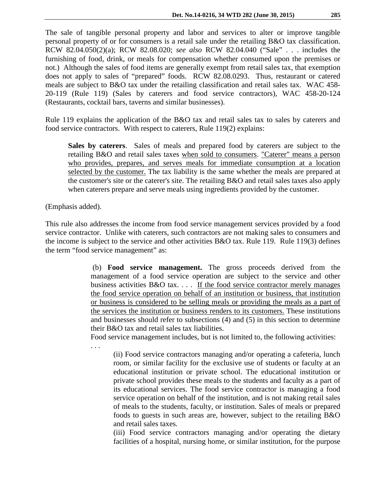The sale of tangible personal property and labor and services to alter or improve tangible personal property of or for consumers is a retail sale under the retailing B&O tax classification. RCW 82.04.050(2)(a); RCW 82.08.020; *see also* RCW 82.04.040 ("Sale" . . . includes the furnishing of food, drink, or meals for compensation whether consumed upon the premises or not.) Although the sales of food items are generally exempt from retail sales tax, that exemption does not apply to sales of "prepared" foods. RCW 82.08.0293. Thus, restaurant or catered meals are subject to B&O tax under the retailing classification and retail sales tax. WAC 458- 20-119 (Rule 119) (Sales by caterers and food service contractors), WAC 458-20-124 (Restaurants, cocktail bars, taverns and similar businesses).

Rule 119 explains the application of the B&O tax and retail sales tax to sales by caterers and food service contractors. With respect to caterers, Rule 119(2) explains:

**Sales by caterers**. Sales of meals and prepared food by caterers are subject to the retailing B&O and retail sales taxes when sold to consumers. "Caterer" means a person who provides, prepares, and serves meals for immediate consumption at a location selected by the customer. The tax liability is the same whether the meals are prepared at the customer's site or the caterer's site. The retailing B&O and retail sales taxes also apply when caterers prepare and serve meals using ingredients provided by the customer.

(Emphasis added).

. . .

This rule also addresses the income from food service management services provided by a food service contractor. Unlike with caterers, such contractors are not making sales to consumers and the income is subject to the service and other activities B&O tax. Rule 119. Rule 119(3) defines the term "food service management" as:

> (b) **Food service management.** The gross proceeds derived from the management of a food service operation are subject to the service and other business activities B&O tax. . . . If the food service contractor merely manages the food service operation on behalf of an institution or business, that institution or business is considered to be selling meals or providing the meals as a part of the services the institution or business renders to its customers. These institutions and businesses should refer to subsections (4) and (5) in this section to determine their B&O tax and retail sales tax liabilities.

Food service management includes, but is not limited to, the following activities:

(ii) Food service contractors managing and/or operating a cafeteria, lunch room, or similar facility for the exclusive use of students or faculty at an educational institution or private school. The educational institution or private school provides these meals to the students and faculty as a part of its educational services. The food service contractor is managing a food service operation on behalf of the institution, and is not making retail sales of meals to the students, faculty, or institution. Sales of meals or prepared foods to guests in such areas are, however, subject to the retailing B&O and retail sales taxes.

(iii) Food service contractors managing and/or operating the dietary facilities of a hospital, nursing home, or similar institution, for the purpose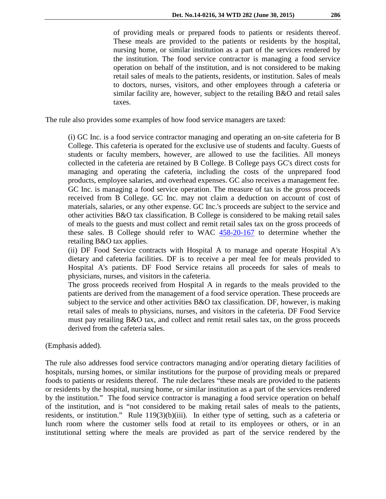of providing meals or prepared foods to patients or residents thereof. These meals are provided to the patients or residents by the hospital, nursing home, or similar institution as a part of the services rendered by the institution. The food service contractor is managing a food service operation on behalf of the institution, and is not considered to be making retail sales of meals to the patients, residents, or institution. Sales of meals to doctors, nurses, visitors, and other employees through a cafeteria or similar facility are, however, subject to the retailing B&O and retail sales taxes.

The rule also provides some examples of how food service managers are taxed:

(i) GC Inc. is a food service contractor managing and operating an on-site cafeteria for B College. This cafeteria is operated for the exclusive use of students and faculty. Guests of students or faculty members, however, are allowed to use the facilities. All moneys collected in the cafeteria are retained by B College. B College pays GC's direct costs for managing and operating the cafeteria, including the costs of the unprepared food products, employee salaries, and overhead expenses. GC also receives a management fee. GC Inc. is managing a food service operation. The measure of tax is the gross proceeds received from B College. GC Inc. may not claim a deduction on account of cost of materials, salaries, or any other expense. GC Inc.'s proceeds are subject to the service and other activities B&O tax classification. B College is considered to be making retail sales of meals to the guests and must collect and remit retail sales tax on the gross proceeds of these sales. B College should refer to WAC [458-20-167](http://apps.leg.wa.gov/wac/default.aspx?cite=458-20-167) to determine whether the retailing B&O tax applies.

(ii) DF Food Service contracts with Hospital A to manage and operate Hospital A's dietary and cafeteria facilities. DF is to receive a per meal fee for meals provided to Hospital A's patients. DF Food Service retains all proceeds for sales of meals to physicians, nurses, and visitors in the cafeteria.

The gross proceeds received from Hospital A in regards to the meals provided to the patients are derived from the management of a food service operation. These proceeds are subject to the service and other activities B&O tax classification. DF, however, is making retail sales of meals to physicians, nurses, and visitors in the cafeteria. DF Food Service must pay retailing B&O tax, and collect and remit retail sales tax, on the gross proceeds derived from the cafeteria sales.

(Emphasis added).

The rule also addresses food service contractors managing and/or operating dietary facilities of hospitals, nursing homes, or similar institutions for the purpose of providing meals or prepared foods to patients or residents thereof. The rule declares "these meals are provided to the patients or residents by the hospital, nursing home, or similar institution as a part of the services rendered by the institution." The food service contractor is managing a food service operation on behalf of the institution, and is "not considered to be making retail sales of meals to the patients, residents, or institution." Rule 119(3)(b)(iii). In either type of setting, such as a cafeteria or lunch room where the customer sells food at retail to its employees or others, or in an institutional setting where the meals are provided as part of the service rendered by the